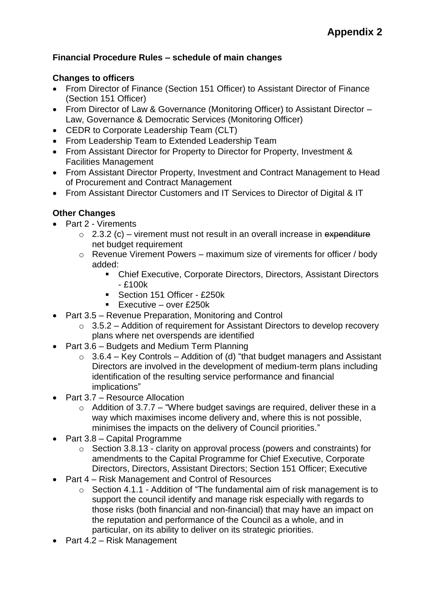## **Financial Procedure Rules – schedule of main changes**

## **Changes to officers**

- From Director of Finance (Section 151 Officer) to Assistant Director of Finance (Section 151 Officer)
- From Director of Law & Governance (Monitoring Officer) to Assistant Director Law, Governance & Democratic Services (Monitoring Officer)
- CEDR to Corporate Leadership Team (CLT)
- From Leadership Team to Extended Leadership Team
- From Assistant Director for Property to Director for Property, Investment & Facilities Management
- From Assistant Director Property, Investment and Contract Management to Head of Procurement and Contract Management
- From Assistant Director Customers and IT Services to Director of Digital & IT

## **Other Changes**

- Part 2 Virements
	- $\circ$  2.3.2 (c) virement must not result in an overall increase in expenditure net budget requirement
	- o Revenue Virement Powers maximum size of virements for officer / body added:
		- Chief Executive, Corporate Directors, Directors, Assistant Directors - £100k
		- Section 151 Officer £250k
		- Executive over £250 $k$
- Part 3.5 Revenue Preparation, Monitoring and Control
	- $\circ$  3.5.2 Addition of requirement for Assistant Directors to develop recovery plans where net overspends are identified
- Part 3.6 Budgets and Medium Term Planning
	- $\circ$  3.6.4 Key Controls Addition of (d) "that budget managers and Assistant Directors are involved in the development of medium-term plans including identification of the resulting service performance and financial implications"
- Part 3.7 Resource Allocation
	- $\circ$  Addition of 3.7.7 "Where budget savings are required, deliver these in a way which maximises income delivery and, where this is not possible, minimises the impacts on the delivery of Council priorities."
- Part 3.8 Capital Programme
	- o Section 3.8.13 clarity on approval process (powers and constraints) for amendments to the Capital Programme for Chief Executive, Corporate Directors, Directors, Assistant Directors; Section 151 Officer; Executive
- Part 4 Risk Management and Control of Resources
	- o Section 4.1.1 Addition of "The fundamental aim of risk management is to support the council identify and manage risk especially with regards to those risks (both financial and non-financial) that may have an impact on the reputation and performance of the Council as a whole, and in particular, on its ability to deliver on its strategic priorities.
- Part 4.2 Risk Management